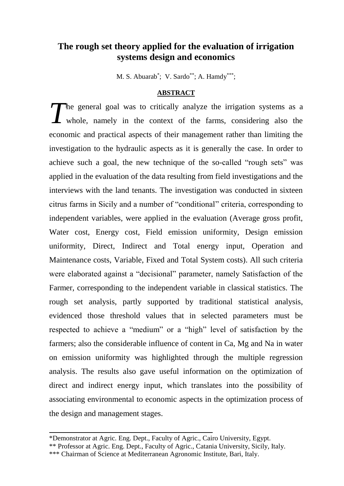# **The rough set theory applied for the evaluation of irrigation systems design and economics**

M. S. Abuarab<sup>\*</sup>; V. Sardo<sup>\*\*</sup>; A. Hamdy<sup>\*\*\*</sup>;

# **ABSTRACT**

The general goal was to critically analyze the irrigation systems as a whole, namely in the context of the farms, considering also the whole, namely in the context of the farms, considering also the economic and practical aspects of their management rather than limiting the investigation to the hydraulic aspects as it is generally the case. In order to achieve such a goal, the new technique of the so-called "rough sets" was applied in the evaluation of the data resulting from field investigations and the interviews with the land tenants. The investigation was conducted in sixteen citrus farms in Sicily and a number of "conditional" criteria, corresponding to independent variables, were applied in the evaluation (Average gross profit, Water cost, Energy cost, Field emission uniformity, Design emission uniformity, Direct, Indirect and Total energy input, Operation and Maintenance costs, Variable, Fixed and Total System costs). All such criteria were elaborated against a "decisional" parameter, namely Satisfaction of the Farmer, corresponding to the independent variable in classical statistics. The rough set analysis, partly supported by traditional statistical analysis, evidenced those threshold values that in selected parameters must be respected to achieve a "medium" or a "high" level of satisfaction by the farmers; also the considerable influence of content in Ca, Mg and Na in water on emission uniformity was highlighted through the multiple regression analysis. The results also gave useful information on the optimization of direct and indirect energy input, which translates into the possibility of associating environmental to economic aspects in the optimization process of the design and management stages.

<sup>\*</sup>Demonstrator at Agric. Eng. Dept., Faculty of Agric., Cairo University, Egypt.

<sup>\*\*</sup> Professor at Agric. Eng. Dept., Faculty of Agric., Catania University, Sicily, Italy.

<sup>\*\*\*</sup> Chairman of Science at Mediterranean Agronomic Institute, Bari, Italy.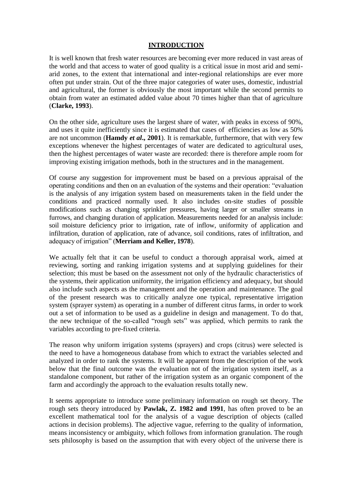#### **INTRODUCTION**

It is well known that fresh water resources are becoming ever more reduced in vast areas of the world and that access to water of good quality is a critical issue in most arid and semiarid zones, to the extent that international and inter-regional relationships are ever more often put under strain. Out of the three major categories of water uses, domestic, industrial and agricultural, the former is obviously the most important while the second permits to obtain from water an estimated added value about 70 times higher than that of agriculture (**Clarke, 1993**).

On the other side, agriculture uses the largest share of water, with peaks in excess of 90%, and uses it quite inefficiently since it is estimated that cases of efficiencies as low as 50% are not uncommon (**Hamdy** *et al***., 2001**). It is remarkable, furthermore, that with very few exceptions whenever the highest percentages of water are dedicated to agricultural uses, then the highest percentages of water waste are recorded: there is therefore ample room for improving existing irrigation methods, both in the structures and in the management.

Of course any suggestion for improvement must be based on a previous appraisal of the operating conditions and then on an evaluation of the systems and their operation: "evaluation is the analysis of any irrigation system based on measurements taken in the field under the conditions and practiced normally used. It also includes on-site studies of possible modifications such as changing sprinkler pressures, having larger or smaller streams in furrows, and changing duration of application. Measurements needed for an analysis include: soil moisture deficiency prior to irrigation, rate of inflow, uniformity of application and infiltration, duration of application, rate of advance, soil conditions, rates of infiltration, and adequacy of irrigation" (**Merriam and Keller, 1978**).

We actually felt that it can be useful to conduct a thorough appraisal work, aimed at reviewing, sorting and ranking irrigation systems and at supplying guidelines for their selection; this must be based on the assessment not only of the hydraulic characteristics of the systems, their application uniformity, the irrigation efficiency and adequacy, but should also include such aspects as the management and the operation and maintenance. The goal of the present research was to critically analyze one typical, representative irrigation system (sprayer system) as operating in a number of different citrus farms, in order to work out a set of information to be used as a guideline in design and management. To do that, the new technique of the so-called "rough sets" was applied, which permits to rank the variables according to pre-fixed criteria.

The reason why uniform irrigation systems (sprayers) and crops (citrus) were selected is the need to have a homogeneous database from which to extract the variables selected and analyzed in order to rank the systems. It will be apparent from the description of the work below that the final outcome was the evaluation not of the irrigation system itself, as a standalone component, but rather of the irrigation system as an organic component of the farm and accordingly the approach to the evaluation results totally new.

It seems appropriate to introduce some preliminary information on rough set theory. The rough sets theory introduced by **Pawlak, Z. 1982 and 1991**, has often proved to be an excellent mathematical tool for the analysis of a vague description of objects (called actions in decision problems). The adjective vague, referring to the quality of information, means inconsistency or ambiguity, which follows from information granulation. The rough sets philosophy is based on the assumption that with every object of the universe there is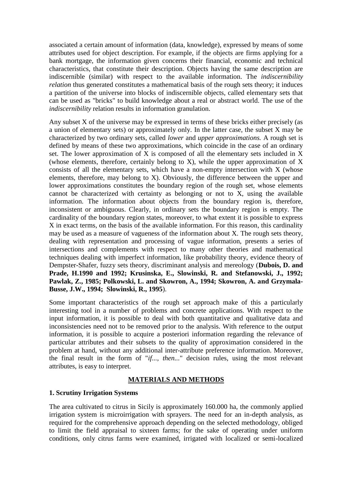associated a certain amount of information (data, knowledge), expressed by means of some attributes used for object description. For example, if the objects are firms applying for a bank mortgage, the information given concerns their financial, economic and technical characteristics, that constitute their description. Objects having the same description are indiscernible (similar) with respect to the available information. The *indiscernibility relation* thus generated constitutes a mathematical basis of the rough sets theory; it induces a partition of the universe into blocks of indiscernible objects, called elementary sets that can be used as "bricks" to build knowledge about a real or abstract world. The use of the *indiscernibility* relation results in information granulation.

Any subset X of the universe may be expressed in terms of these bricks either precisely (as a union of elementary sets) or approximately only. In the latter case, the subset X may be characterized by two ordinary sets, called *lower* and *upper approximations.* A rough set is defined by means of these two approximations, which coincide in the case of an ordinary set. The lower approximation of X is composed of all the elementary sets included in X (whose elements, therefore, certainly belong to X), while the upper approximation of X consists of all the elementary sets, which have a non-empty intersection with X (whose elements, therefore, may belong to X). Obviously, the difference between the upper and lower approximations constitutes the boundary region of the rough set, whose elements cannot be characterized with certainty as belonging or not to X, using the available information. The information about objects from the boundary region is, therefore, inconsistent or ambiguous. Clearly, in ordinary sets the boundary region is empty. The cardinality of the boundary region states, moreover, to what extent it is possible to express X in exact terms, on the basis of the available information. For this reason, this cardinality may be used as a measure of vagueness of the information about X. The rough sets theory, dealing with representation and processing of vague information, presents a series of intersections and complements with respect to many other theories and mathematical techniques dealing with imperfect information, like probability theory, evidence theory of Dempster-Shafer, fuzzy sets theory, discriminant analysis and mereology (**Dubois, D. and Prade, H.1990 and 1992; Krusinska, E., Slowinski, R. and Stefanowski, J., 1992; Pawlak, Z., 1985; Polkowski, L. and Skowron, A., 1994; Skowron, A. and Grzymala-Busse, J.W., 1994; Slowinski, R., 1995**).

Some important characteristics of the rough set approach make of this a particularly interesting tool in a number of problems and concrete applications. With respect to the input information, it is possible to deal with both quantitative and qualitative data and inconsistencies need not to be removed prior to the analysis. With reference to the output information, it is possible to acquire a posteriori information regarding the relevance of particular attributes and their subsets to the quality of approximation considered in the problem at hand, without any additional inter-attribute preference information. Moreover, the final result in the form of "*if..., then...*" decision rules, using the most relevant attributes, is easy to interpret.

#### **MATERIALS AND METHODS**

#### **1. Scrutiny Irrigation Systems**

The area cultivated to citrus in Sicily is approximately 160.000 ha, the commonly applied irrigation system is microirrigation with sprayers. The need for an in-depth analysis, as required for the comprehensive approach depending on the selected methodology, obliged to limit the field appraisal to sixteen farms; for the sake of operating under uniform conditions, only citrus farms were examined, irrigated with localized or semi-localized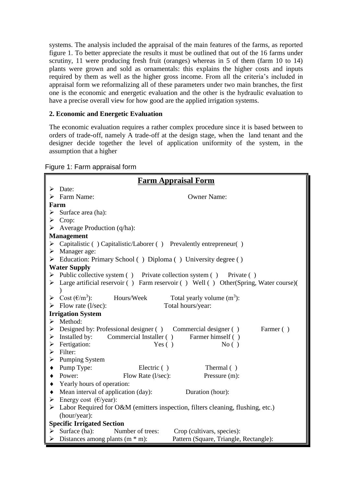systems. The analysis included the appraisal of the main features of the farms, as reported figure 1. To better appreciate the results it must be outlined that out of the 16 farms under scrutiny, 11 were producing fresh fruit (oranges) whereas in 5 of them (farm 10 to 14) plants were grown and sold as ornamentals: this explains the higher costs and inputs required by them as well as the higher gross income. From all the criteria's included in appraisal form we reformalizing all of these parameters under two main branches, the first one is the economic and energetic evaluation and the other is the hydraulic evaluation to have a precise overall view for how good are the applied irrigation systems.

## **2. Economic and Energetic Evaluation**

The economic evaluation requires a rather complex procedure since it is based between to orders of trade-off, namely A trade-off at the design stage, when the land tenant and the designer decide together the level of application uniformity of the system, in the assumption that a higher

Figure 1: Farm appraisal form

|                                   | <b>Farm Appraisal Form</b>                                                                      |  |  |  |  |  |  |  |  |  |
|-----------------------------------|-------------------------------------------------------------------------------------------------|--|--|--|--|--|--|--|--|--|
|                                   | $\triangleright$ Date:                                                                          |  |  |  |  |  |  |  |  |  |
|                                   | $\triangleright$ Farm Name:<br><b>Owner Name:</b>                                               |  |  |  |  |  |  |  |  |  |
|                                   | Farm                                                                                            |  |  |  |  |  |  |  |  |  |
|                                   | $\triangleright$ Surface area (ha):                                                             |  |  |  |  |  |  |  |  |  |
|                                   | $\triangleright$ Crop:                                                                          |  |  |  |  |  |  |  |  |  |
|                                   | $\triangleright$ Average Production (q/ha):                                                     |  |  |  |  |  |  |  |  |  |
|                                   | <b>Management</b>                                                                               |  |  |  |  |  |  |  |  |  |
|                                   | $\triangleright$ Capitalistic () Capitalistic/Laborer () Prevalently entrepreneur ()            |  |  |  |  |  |  |  |  |  |
|                                   | $\triangleright$ Manager age:                                                                   |  |  |  |  |  |  |  |  |  |
|                                   | $\triangleright$ Education: Primary School () Diploma () University degree ()                   |  |  |  |  |  |  |  |  |  |
| <b>Water Supply</b>               |                                                                                                 |  |  |  |  |  |  |  |  |  |
|                                   | $\triangleright$ Public collective system () Private collection system () Private ()            |  |  |  |  |  |  |  |  |  |
|                                   | > Large artificial reservoir () Farm reservoir () Well () Other (Spring, Water course) (        |  |  |  |  |  |  |  |  |  |
|                                   | $\mathcal{E}$                                                                                   |  |  |  |  |  |  |  |  |  |
|                                   | $\triangleright$ Cost ( $\epsilon/m^3$ ):<br>Hours/Week<br>Total yearly volume $(m^3)$ :        |  |  |  |  |  |  |  |  |  |
|                                   | $\triangleright$ Flow rate (l/sec):<br>Total hours/year:                                        |  |  |  |  |  |  |  |  |  |
|                                   | <b>Irrigation System</b>                                                                        |  |  |  |  |  |  |  |  |  |
|                                   | $\triangleright$ Method:                                                                        |  |  |  |  |  |  |  |  |  |
|                                   | $\triangleright$ Designed by: Professional designer () Commercial designer ()<br>Farmer ()      |  |  |  |  |  |  |  |  |  |
|                                   | Commercial Installer () Farmer himself ()<br>$\triangleright$ Installed by:                     |  |  |  |  |  |  |  |  |  |
|                                   | $\triangleright$ Fertigation:<br>Yes $( )$<br>No( )                                             |  |  |  |  |  |  |  |  |  |
|                                   | $\triangleright$ Filter:                                                                        |  |  |  |  |  |  |  |  |  |
|                                   | $\triangleright$ Pumping System                                                                 |  |  |  |  |  |  |  |  |  |
| $\blacklozenge$                   | Pump Type:<br>Electric ()<br>Thermal ()                                                         |  |  |  |  |  |  |  |  |  |
| ٠                                 | Power:<br>Flow Rate (l/sec):<br>Pressure (m):                                                   |  |  |  |  |  |  |  |  |  |
|                                   | • Yearly hours of operation:                                                                    |  |  |  |  |  |  |  |  |  |
| $\bullet$                         | Mean interval of application (day):<br>Duration (hour):                                         |  |  |  |  |  |  |  |  |  |
|                                   | Energy cost ( $\epsilon$ /year):                                                                |  |  |  |  |  |  |  |  |  |
|                                   | $\triangleright$ Labor Required for O&M (emitters inspection, filters cleaning, flushing, etc.) |  |  |  |  |  |  |  |  |  |
|                                   | (hour/year):                                                                                    |  |  |  |  |  |  |  |  |  |
| <b>Specific Irrigated Section</b> |                                                                                                 |  |  |  |  |  |  |  |  |  |
| ≻                                 | Surface (ha):<br>Number of trees:<br>Crop (cultivars, species):                                 |  |  |  |  |  |  |  |  |  |
|                                   | $\triangleright$ Distances among plants (m $*$ m):<br>Pattern (Square, Triangle, Rectangle):    |  |  |  |  |  |  |  |  |  |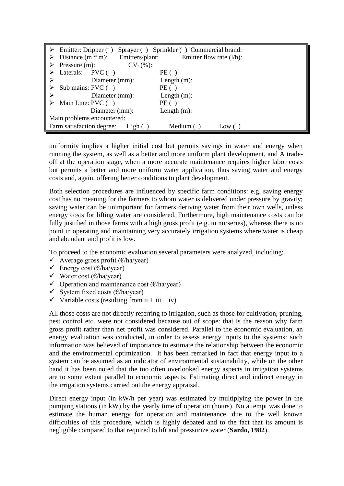| Sprayer () Sprinkler () Commercial brand:<br>Emitter: Dripper () |                             |  |  |  |  |  |
|------------------------------------------------------------------|-----------------------------|--|--|--|--|--|
| Distance $(m * m)$ : Emitters/plant:<br>➤                        | Emitter flow rate $(l/h)$ : |  |  |  |  |  |
| $CV_{t}(\%):$<br>Pressure $(m)$ :<br>➤                           |                             |  |  |  |  |  |
| Laterals: $PVC( )$<br>➤                                          | PE()                        |  |  |  |  |  |
| Diameter (mm):<br>≻                                              | Length $(m)$ :              |  |  |  |  |  |
| Sub mains: $PVC( )$                                              | PE()                        |  |  |  |  |  |
| Diameter (mm):<br>➤                                              | Length $(m)$ :              |  |  |  |  |  |
| Main Line: PVC ()<br>➤                                           | PE()                        |  |  |  |  |  |
| Diameter (mm):                                                   | Length $(m)$ :              |  |  |  |  |  |
| Main problems encountered:                                       |                             |  |  |  |  |  |
| Farm satisfaction degree:<br>High (                              | Medium<br>Low $\ell$        |  |  |  |  |  |

uniformity implies a higher initial cost but permits savings in water and energy when running the system, as well as a better and more uniform plant development, and A tradeoff at the operation stage, when a more accurate maintenance requires higher labor costs but permits a better and more uniform water application, thus saving water and energy costs and, again, offering better conditions to plant development.

Both selection procedures are influenced by specific farm conditions: e.g. saving energy cost has no meaning for the farmers to whom water is delivered under pressure by gravity; saving water can be unimportant for farmers deriving water from their own wells, unless energy costs for lifting water are considered. Furthermore, high maintenance costs can be fully justified in those farms with a high gross profit (e.g. in nurseries), whereas there is no point in operating and maintaining very accurately irrigation systems where water is cheap and abundant and profit is low.

To proceed to the economic evaluation several parameters were analyzed, including:

- $\checkmark$  Average gross profit ( $\hat{\epsilon}/h$ a/year)
- $\checkmark$  Energy cost ( $\hat{\epsilon}/h$ a/year)
- $\checkmark$  Water cost ( $\hat{\epsilon}/h$ a/year)
- $\checkmark$  Operation and maintenance cost ( $\hat{\epsilon}/h$ a/year)
- $\checkmark$  System fixed costs ( $\hat{\epsilon}/h$ a/year)
- $\checkmark$  Variable costs (resulting from ii + iii + iv)

All those costs are not directly referring to irrigation, such as those for cultivation, pruning, pest control etc. were not considered because out of scope: that is the reason why farm gross profit rather than net profit was considered. Parallel to the economic evaluation, an energy evaluation was conducted, in order to assess energy inputs to the systems: such information was believed of importance to estimate the relationship between the economic and the environmental optimization. It has been remarked in fact that energy input to a system can be assumed as an indicator of environmental sustainability, while on the other hand it has been noted that the too often overlooked energy aspects in irrigation systems are to some extent parallel to economic aspects. Estimating direct and indirect energy in the irrigation systems carried out the energy appraisal.

Direct energy input (in kW/h per year) was estimated by multiplying the power in the pumping stations (in kW) by the yearly time of operation (hours). No attempt was done to estimate the human energy for operation and maintenance, due to the well known difficulties of this procedure, which is highly debated and to the fact that its amount is negligible compared to that required to lift and pressurize water (**Sardo, 1982**).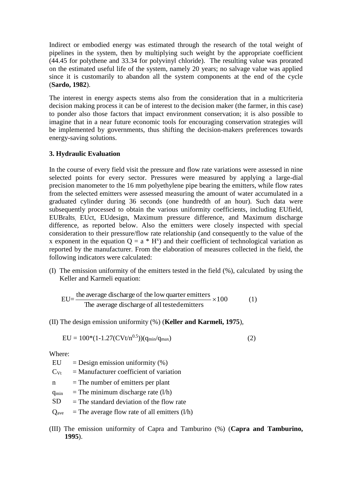Indirect or embodied energy was estimated through the research of the total weight of pipelines in the system, then by multiplying such weight by the appropriate coefficient (44.45 for polythene and 33.34 for polyvinyl chloride). The resulting value was prorated on the estimated useful life of the system, namely 20 years; no salvage value was applied since it is customarily to abandon all the system components at the end of the cycle (**Sardo, 1982**).

The interest in energy aspects stems also from the consideration that in a multicriteria decision making process it can be of interest to the decision maker (the farmer, in this case) to ponder also those factors that impact environment conservation; it is also possible to imagine that in a near future economic tools for encouraging conservation strategies will be implemented by governments, thus shifting the decision-makers preferences towards energy-saving solutions.

# **3. Hydraulic Evaluation**

In the course of every field visit the pressure and flow rate variations were assessed in nine selected points for every sector. Pressures were measured by applying a large-dial precision manometer to the 16 mm polyethylene pipe bearing the emitters, while flow rates from the selected emitters were assessed measuring the amount of water accumulated in a graduated cylinder during 36 seconds (one hundredth of an hour). Such data were subsequently processed to obtain the various uniformity coefficients, including EUfield, EUBralts, EUct, EUdesign, Maximum pressure difference, and Maximum discharge difference, as reported below. Also the emitters were closely inspected with special consideration to their pressure/flow rate relationship (and consequently to the value of the x exponent in the equation  $Q = a * H^x$  and their coefficient of technological variation as reported by the manufacturer. From the elaboration of measures collected in the field, the following indicators were calculated:

(I) The emission uniformity of the emitters tested in the field (%), calculated by using the Keller and Karmeli equation:

$$
EU = \frac{\text{the average discharge of the low quarter emitters}}{\text{The average discharge of all tested emitters}} \times 100 \tag{1}
$$

(II) The design emission uniformity (%) (**Keller and Karmeli, 1975**),

$$
EU = 100*(1-1.27(CVt/n0.5))(q_{min}/q_{max})
$$
\n(2)

Where:

 $EU = Design emission uniformity (%)$ 

- $C_{Vt}$  = Manufacturer coefficient of variation
- $n =$ The number of emitters per plant
- $q_{min}$  = The minimum discharge rate (l/h)
- $SD = The standard deviation of the flow rate$
- $Q_{\text{ave}}$  = The average flow rate of all emitters (l/h)
- (III) The emission uniformity of Capra and Tamburino (%) (**Capra and Tamburino, 1995**).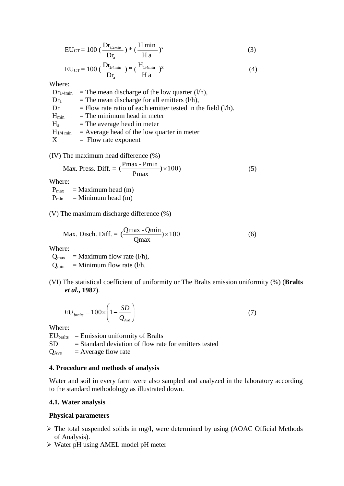$$
EU_{CT} = 100 \left( \frac{Dr_{1/4\text{min}}}{Dr_a} \right) * \left( \frac{H \text{ min}}{H a} \right)^x \tag{3}
$$

$$
EU_{CT} = 100 \left( \frac{Dr_{1/4\text{min}}}{Dr_a} \right) * \left( \frac{H_{1/4\text{min}}}{H a} \right)^x \tag{4}
$$

Where:

 $Dr_{1/4min}$  = The mean discharge of the low quarter (l/h),  $Dr_a$  = The mean discharge for all emitters (l/h), Dr  $=$  Flow rate ratio of each emitter tested in the field  $(1/h)$ .  $H_{\text{min}}$  = The minimum head in meter  $H<sub>a</sub>$  = The average head in meter  $H_{1/4 \text{ min}}$  = Average head of the low quarter in meter  $X = Flow$  rate exponent

(IV) The maximum head difference (%) Max. Press. Diff. =  $\left(\frac{\text{Pmax - Pmin}}{\text{Pmax}}\right) \times 100$  $(5)$ 

Where:

 $P_{\text{max}}$  = Maximum head (m)  $P_{\text{min}}$  = Minimum head (m)

(V) The maximum discharge difference (%)

$$
\text{Max. Disk. Diff.} = \left(\frac{\text{Qmax} - \text{Qmin}}{\text{Qmax}}\right) \times 100\tag{6}
$$

Where:

 $Q_{\text{max}}$  = Maximum flow rate (l/h),  $Q_{\text{min}}$  = Minimum flow rate (l/h.

(VI) The statistical coefficient of uniformity or The Bralts emission uniformity (%) (**Bralts**  *et al***., 1987**).

$$
EU_{bratts} = 100 \times \left(1 - \frac{SD}{Q_{Ave}}\right) \tag{7}
$$

Where:

 $EU<sub>bralts</sub> = E<sub>mission</sub> uniformity of Brals$ SD = Standard deviation of flow rate for emitters tested  $Q_{\text{Ave}}$  = Average flow rate

#### **4. Procedure and methods of analysis**

Water and soil in every farm were also sampled and analyzed in the laboratory according to the standard methodology as illustrated down.

#### **4.1. Water analysis**

#### **Physical parameters**

- The total suspended solids in mg/l, were determined by using (AOAC Official Methods of Analysis).
- Water pH using AMEL model pH meter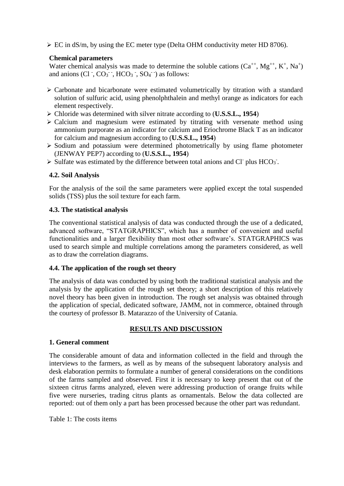$\triangleright$  EC in dS/m, by using the EC meter type (Delta OHM conductivity meter HD 8706).

## **Chemical parameters**

Water chemical analysis was made to determine the soluble cations  $(Ca^{++}, Mg^{++}, K^+, Na^+)$ and anions  $(Cl^-, CO_3^-$ ,  $HCO_3^-$ ,  $SO_4^-$ ) as follows:

- Carbonate and bicarbonate were estimated volumetrically by titration with a standard solution of sulfuric acid, using phenolphthalein and methyl orange as indicators for each element respectively.
- Chloride was determined with silver nitrate according to (**U.S.S.L., 1954**)
- $\triangleright$  Calcium and magnesium were estimated by titrating with versenate method using ammonium purporate as an indicator for calcium and Eriochrome Black T as an indicator for calcium and magnesium according to (**U.S.S.L., 1954**)
- $\triangleright$  Sodium and potassium were determined photometrically by using flame photometer (JENWAY PEP7) according to (**U.S.S.L., 1954**)
- $\triangleright$  Sulfate was estimated by the difference between total anions and Cl<sup>-</sup> plus HCO<sub>3</sub><sup>-</sup>.

## **4.2. Soil Analysis**

For the analysis of the soil the same parameters were applied except the total suspended solids (TSS) plus the soil texture for each farm.

## **4.3. The statistical analysis**

The conventional statistical analysis of data was conducted through the use of a dedicated, advanced software, "STATGRAPHICS", which has a number of convenient and useful functionalities and a larger flexibility than most other software's. STATGRAPHICS was used to search simple and multiple correlations among the parameters considered, as well as to draw the correlation diagrams.

#### **4.4. The application of the rough set theory**

The analysis of data was conducted by using both the traditional statistical analysis and the analysis by the application of the rough set theory; a short description of this relatively novel theory has been given in introduction. The rough set analysis was obtained through the application of special, dedicated software, JAMM, not in commerce, obtained through the courtesy of professor B. Matarazzo of the University of Catania.

# **RESULTS AND DISCUSSION**

#### **1. General comment**

The considerable amount of data and information collected in the field and through the interviews to the farmers, as well as by means of the subsequent laboratory analysis and desk elaboration permits to formulate a number of general considerations on the conditions of the farms sampled and observed. First it is necessary to keep present that out of the sixteen citrus farms analyzed, eleven were addressing production of orange fruits while five were nurseries, trading citrus plants as ornamentals. Below the data collected are reported: out of them only a part has been processed because the other part was redundant.

Table 1: The costs items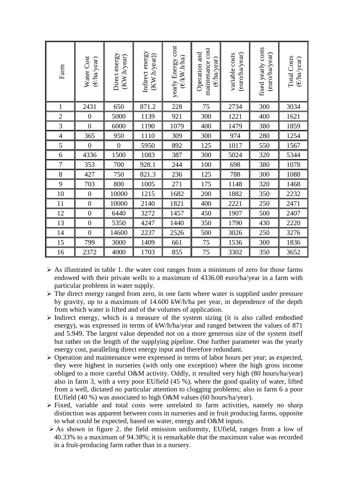| Farm           | Water Cost<br>$(\epsilon$ /ha/year) | Direct energy<br>(KW.h/year) | Indirect energy<br>(KW.h/year) | cost<br>(E/kW.h/ha)<br>yearly Energy | maintenance cost<br>Operation and<br>$(\epsilon$ /ha/year) | variable costs<br>(euro/ha/year) | fixed yearly costs<br>(euro/ha/year) | <b>Total Costs</b><br>$(\epsilon$ /ha/year) |
|----------------|-------------------------------------|------------------------------|--------------------------------|--------------------------------------|------------------------------------------------------------|----------------------------------|--------------------------------------|---------------------------------------------|
| $\mathbf{1}$   | 2431                                | 650                          | 871.2                          | 228                                  | 75                                                         | 2734                             | 300                                  | 3034                                        |
| $\overline{2}$ | $\overline{0}$                      | 5000                         | 1139                           | 921                                  | 300                                                        | 1221                             | 400                                  | 1621                                        |
| $\mathfrak{Z}$ | $\boldsymbol{0}$                    | 6000                         | 1190                           | 1079                                 | 400                                                        | 1479                             | 380                                  | 1859                                        |
| $\overline{4}$ | 365                                 | 950                          | 1110                           | 309                                  | 300                                                        | 974                              | 280                                  | 1254                                        |
| 5              | $\overline{0}$                      | $\overline{0}$               | 5950                           | 892                                  | 125                                                        | 1017                             | 550                                  | 1567                                        |
| 6              | 4336                                | 1500                         | 1083                           | 387                                  | 300                                                        | 5024                             | 320                                  | 5344                                        |
| $\overline{7}$ | 353                                 | 700                          | 928.1                          | 244                                  | 100                                                        | 698                              | 380                                  | 1078                                        |
| 8              | 427                                 | 750                          | 821.3                          | 236                                  | 125                                                        | 788                              | 300                                  | 1088                                        |
| 9              | 703                                 | 800                          | 1005                           | 271                                  | 175                                                        | 1148                             | 320                                  | 1468                                        |
| 10             | $\boldsymbol{0}$                    | 10000                        | 1215                           | 1682                                 | 200                                                        | 1882                             | 350                                  | 2232                                        |
| 11             | $\overline{0}$                      | 10000                        | 2140                           | 1821                                 | 400                                                        | 2221                             | 250                                  | 2471                                        |
| 12             | $\boldsymbol{0}$                    | 6440                         | 3272                           | 1457                                 | 450                                                        | 1907                             | 500                                  | 2407                                        |
| 13             | $\overline{0}$                      | 5350                         | 4247                           | 1440                                 | 350                                                        | 1790                             | 430                                  | 2220                                        |
| 14             | $\overline{0}$                      | 14600                        | 2237                           | 2526                                 | 500                                                        | 3026                             | 250                                  | 3276                                        |
| 15             | 799                                 | 3000                         | 1409                           | 661                                  | 75                                                         | 1536                             | 300                                  | 1836                                        |
| 16             | 2372<br>4000<br>1703                |                              | 855                            | 75                                   | 3302                                                       | 350                              | 3652                                 |                                             |

- $\triangleright$  As illustrated in table 1. the water cost ranges from a minimum of zero for those farms endowed with their private wells to a maximum of 4336.08 euro/ha/year in a farm with particular problems in water supply.
- $\triangleright$  The direct energy ranged from zero, in one farm where water is supplied under pressure by gravity, up to a maximum of 14.600 kW/h/ha per year, in dependence of the depth from which water is lifted and of the volumes of application.
- $\triangleright$  Indirect energy, which is a measure of the system sizing (it is also called embodied energy), was expressed in terms of kW/h/ha/year and ranged between the values of 871 and 5.949. The largest value depended not on a more generous size of the system itself but rather on the length of the supplying pipeline. One further parameter was the yearly energy cost, paralleling direct energy input and therefore redundant.
- Operation and maintenance were expressed in terms of labor hours per year; as expected, they were highest in nurseries (with only one exception) where the high gross income obliged to a more careful O&M activity. Oddly, it resulted very high (80 hours/ha/year) also in farm 3, with a very poor EUfield (45 %), where the good quality of water, lifted from a well, dictated no particular attention to clogging problems; also in farm 6 a poor EUfield (40 %) was associated to high O&M values (60 hours/ha/year).
- $\triangleright$  Fixed, variable and total costs were unrelated to farm activities, namely no sharp distinction was apparent between costs in nurseries and in fruit producing farms, opposite to what could be expected, based on water, energy and O&M inputs.
- $\triangleright$  As shown in figure 2. the field emission uniformity, EUfield, ranges from a low of 40.33% to a maximum of 94.38%; it is remarkable that the maximum value was recorded in a fruit-producing farm rather than in a nursery.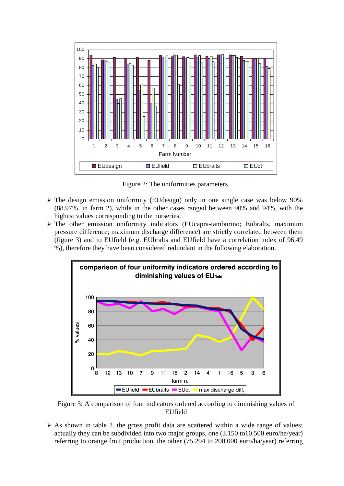

Figure 2: The uniformities parameters.

- $\triangleright$  The design emission uniformity (EU design) only in one single case was below 90% (88.97%, in farm 2), while in the other cases ranged between 90% and 94%, with the highest values corresponding to the nurseries.
- $\triangleright$  The other emission uniformity indicators (EUcapra-tamburino; Eubralts, maximum pressure difference; maximum discharge difference) are strictly correlated between them (figure 3) and to EUfield (e.g. EUbralts and EUfield have a correlation index of 96.49 %), therefore they have been considered redundant in the following elaboration.



Figure 3: A comparison of four indicators ordered according to diminishing values of EUfield

 $\triangleright$  As shown in table 2. the gross profit data are scattered within a wide range of values; actually they can be subdivided into two major groups, one (3.150 to10.500 euro/ha/year) referring to orange fruit production, the other (75.294 to 200.000 euro/ha/year) referring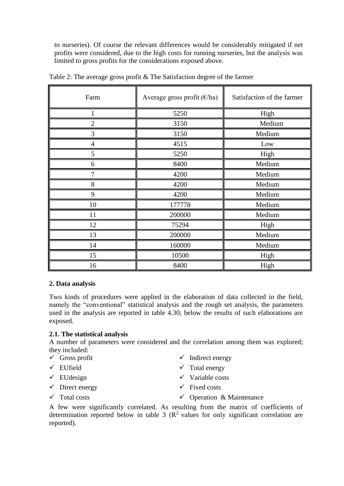to nurseries). Of course the relevant differences would be considerably mitigated if net profits were considered, due to the high costs for running nurseries, but the analysis was limited to gross profits for the considerations exposed above.

| Farm           | Average gross profit $(\epsilon / ha)$ | Satisfaction of the farmer |  |  |
|----------------|----------------------------------------|----------------------------|--|--|
|                | 5250                                   | High                       |  |  |
| $\overline{2}$ | 3150                                   | Medium                     |  |  |
| 3              | 3150                                   | Medium                     |  |  |
| $\overline{4}$ | 4515                                   | Low                        |  |  |
| 5              | 5250                                   | High                       |  |  |
| 6              | 8400                                   | Medium                     |  |  |
| 7              | 4200                                   | Medium                     |  |  |
| 8              | 4200                                   | Medium                     |  |  |
| 9              | 4200                                   | Medium                     |  |  |
| 10             | 177778                                 | Medium                     |  |  |
| 11             | 200000                                 | Medium                     |  |  |
| 12             | 75294                                  | High                       |  |  |
| 13             | 200000                                 | Medium                     |  |  |
| 14             | 160000                                 | Medium                     |  |  |
| 15             | 10500                                  | High                       |  |  |
| 16             | 8400                                   | High                       |  |  |

Table 2: The average gross profit & The Satisfaction degree of the farmer

# **2. Data analysis**

Two kinds of procedures were applied in the elaboration of data collected in the field, namely the "conventional" statistical analysis and the rough set analysis, the parameters used in the analysis are reported in table 4.30; below the results of such elaborations are exposed.

# **2.1. The statistical analysis**

A number of parameters were considered and the correlation among them was explored; they included:

- 
- 
- 
- $\checkmark$  Direct energy  $\checkmark$  Fixed costs
	-
- $\checkmark$  Gross profit  $\checkmark$  Indirect energy
- $\checkmark$  EUfield  $\checkmark$  Total energy
- $\checkmark$  EUdesign  $\checkmark$  Variable costs
	-
- $\checkmark$  Total costs  $\checkmark$  Operation & Maintenance

A few were significantly correlated. As resulting from the matrix of coefficients of determination reported below in table 3  $(R^2$  values for only significant correlation are reported).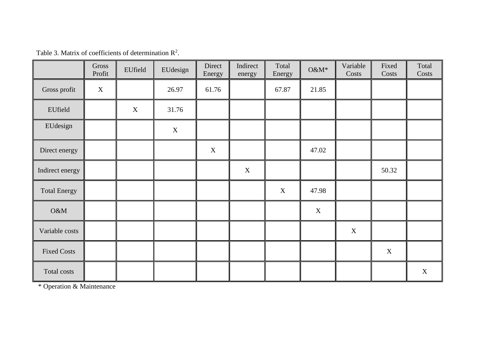|                     | Gross<br>Profit | EUfield     | EUdesign    | Direct<br>Energy | Indirect<br>energy | Total<br>Energy | $O&M^*$     | Variable<br>Costs | Fixed<br>Costs | Total<br>Costs            |
|---------------------|-----------------|-------------|-------------|------------------|--------------------|-----------------|-------------|-------------------|----------------|---------------------------|
| Gross profit        | X               |             | 26.97       | 61.76            |                    | 67.87           | 21.85       |                   |                |                           |
| EUfield             |                 | $\mathbf X$ | 31.76       |                  |                    |                 |             |                   |                |                           |
| EUdesign            |                 |             | $\mathbf X$ |                  |                    |                 |             |                   |                |                           |
| Direct energy       |                 |             |             | $\mathbf X$      |                    |                 | 47.02       |                   |                |                           |
| Indirect energy     |                 |             |             |                  | $\mathbf X$        |                 |             |                   | 50.32          |                           |
| <b>Total Energy</b> |                 |             |             |                  |                    | $\mathbf X$     | 47.98       |                   |                |                           |
| O&M                 |                 |             |             |                  |                    |                 | $\mathbf X$ |                   |                |                           |
| Variable costs      |                 |             |             |                  |                    |                 |             | $\mathbf X$       |                |                           |
| <b>Fixed Costs</b>  |                 |             |             |                  |                    |                 |             |                   | $\mathbf X$    |                           |
| Total costs         |                 |             |             |                  |                    |                 |             |                   |                | $\boldsymbol{\mathrm{X}}$ |

Table 3. Matrix of coefficients of determination  $\mathbb{R}^2$ .

\* Operation & Maintenance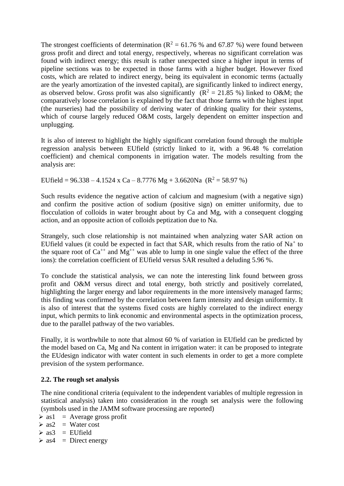The strongest coefficients of determination ( $R^2 = 61.76$  % and 67.87 %) were found between gross profit and direct and total energy, respectively, whereas no significant correlation was found with indirect energy; this result is rather unexpected since a higher input in terms of pipeline sections was to be expected in those farms with a higher budget. However fixed costs, which are related to indirect energy, being its equivalent in economic terms (actually are the yearly amortization of the invested capital), are significantly linked to indirect energy, as observed below. Gross profit was also significantly  $(R^2 = 21.85\%)$  linked to O&M; the comparatively loose correlation is explained by the fact that those farms with the highest input (the nurseries) had the possibility of deriving water of drinking quality for their systems, which of course largely reduced O&M costs, largely dependent on emitter inspection and unplugging.

It is also of interest to highlight the highly significant correlation found through the multiple regression analysis between EUfield (strictly linked to it, with a 96.48 % correlation coefficient) and chemical components in irrigation water. The models resulting from the analysis are:

EUfield =  $96.338 - 4.1524 \times Ca - 8.7776 \text{ Mg} + 3.6620 \text{Na} (\text{R}^2 = 58.97 \text{ %})$ 

Such results evidence the negative action of calcium and magnesium (with a negative sign) and confirm the positive action of sodium (positive sign) on emitter uniformity, due to flocculation of colloids in water brought about by Ca and Mg, with a consequent clogging action, and an opposite action of colloids peptization due to Na.

Strangely, such close relationship is not maintained when analyzing water SAR action on EUfield values (it could be expected in fact that SAR, which results from the ratio of  $Na<sup>+</sup>$  to the square root of  $Ca^{++}$  and  $Mg^{++}$  was able to lump in one single value the effect of the three ions): the correlation coefficient of EUfield versus SAR resulted a deluding 5.96 %.

To conclude the statistical analysis, we can note the interesting link found between gross profit and O&M versus direct and total energy, both strictly and positively correlated, highlighting the larger energy and labor requirements in the more intensively managed farms; this finding was confirmed by the correlation between farm intensity and design uniformity. It is also of interest that the systems fixed costs are highly correlated to the indirect energy input, which permits to link economic and environmental aspects in the optimization process, due to the parallel pathway of the two variables.

Finally, it is worthwhile to note that almost 60 % of variation in EUfield can be predicted by the model based on Ca, Mg and Na content in irrigation water: it can be proposed to integrate the EUdesign indicator with water content in such elements in order to get a more complete prevision of the system performance.

# **2.2. The rough set analysis**

The nine conditional criteria (equivalent to the independent variables of multiple regression in statistical analysis) taken into consideration in the rough set analysis were the following (symbols used in the JAMM software processing are reported)

- $\triangleright$  as1 = Average gross profit
- $\geq$  as2 = Water cost
- $\geq$  as3 = EUfield
- $\ge$  as4 = Direct energy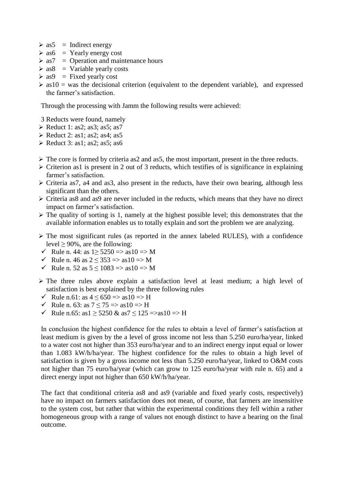- $\geq$  as5 = Indirect energy
- $\geq$  as6 = Yearly energy cost
- $\triangleright$  as7 = Operation and maintenance hours
- $\ge$  as8 = Variable yearly costs
- $\triangleright$  as9 = Fixed yearly cost
- $\triangleright$  as10 = was the decisional criterion (equivalent to the dependent variable), and expressed the farmer's satisfaction.

Through the processing with Jamm the following results were achieved:

- 3 Reducts were found, namely
- $\triangleright$  Reduct 1: as2; as3; as5; as7
- $\triangleright$  Reduct 2: as1; as2; as4; as5
- $\triangleright$  Reduct 3: as1; as2; as5; as6
- $\triangleright$  The core is formed by criteria as2 and as5, the most important, present in the three reducts.
- $\triangleright$  Criterion as1 is present in 2 out of 3 reducts, which testifies of is significance in explaining farmer's satisfaction.
- Criteria as7, a4 and as3, also present in the reducts, have their own bearing, although less significant than the others.
- $\triangleright$  Criteria as8 and as9 are never included in the reducts, which means that they have no direct impact on farmer's satisfaction.
- $\triangleright$  The quality of sorting is 1, namely at the highest possible level; this demonstrates that the available information enables us to totally explain and sort the problem we are analyzing.
- $\triangleright$  The most significant rules (as reported in the annex labeled RULES), with a confidence level  $\geq 90\%$ , are the following:
- $\checkmark$  Rule n. 44: as 1 > 5250 = > as 10 = > M
- $\checkmark$  Rule n. 46 as 2 ≤ 353 => as 10 => M
- $\checkmark$  Rule n. 52 as  $5 \le 1083 \implies \text{as } 10 \le M$
- $\triangleright$  The three rules above explain a satisfaction level at least medium; a high level of satisfaction is best explained by the three following rules
- $\checkmark$  Rule n.61: as 4 ≤ 650 => as 10 => H
- $\checkmark$  Rule n. 63: as 7 ≤ 75 => as 10 => H
- $\checkmark$  Rule n.65: as1 > 5250 & as7 < 125 =>as10 => H

In conclusion the highest confidence for the rules to obtain a level of farmer's satisfaction at least medium is given by the a level of gross income not less than 5.250 euro/ha/year, linked to a water cost not higher than 353 euro/ha/year and to an indirect energy input equal or lower than 1.083 kW/h/ha/year. The highest confidence for the rules to obtain a high level of satisfaction is given by a gross income not less than 5.250 euro/ha/year, linked to O&M costs not higher than 75 euro/ha/year (which can grow to 125 euro/ha/year with rule n. 65) and a direct energy input not higher than 650 kW/h/ha/year.

The fact that conditional criteria as8 and as9 (variable and fixed yearly costs, respectively) have no impact on farmers satisfaction does not mean, of course, that farmers are insensitive to the system cost, but rather that within the experimental conditions they fell within a rather homogeneous group with a range of values not enough distinct to have a bearing on the final outcome.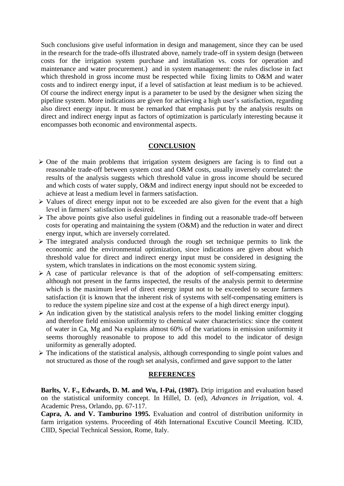Such conclusions give useful information in design and management, since they can be used in the research for the trade-offs illustrated above, namely trade-off in system design (between costs for the irrigation system purchase and installation vs. costs for operation and maintenance and water procurement.) and in system management: the rules disclose in fact which threshold in gross income must be respected while fixing limits to O&M and water costs and to indirect energy input, if a level of satisfaction at least medium is to be achieved. Of course the indirect energy input is a parameter to be used by the designer when sizing the pipeline system. More indications are given for achieving a high user's satisfaction, regarding also direct energy input. It must be remarked that emphasis put by the analysis results on direct and indirect energy input as factors of optimization is particularly interesting because it encompasses both economic and environmental aspects.

# **CONCLUSION**

- $\triangleright$  One of the main problems that irrigation system designers are facing is to find out a reasonable trade-off between system cost and O&M costs, usually inversely correlated: the results of the analysis suggests which threshold value in gross income should be secured and which costs of water supply, O&M and indirect energy input should not be exceeded to achieve at least a medium level in farmers satisfaction.
- $\triangleright$  Values of direct energy input not to be exceeded are also given for the event that a high level in farmers' satisfaction is desired.
- The above points give also useful guidelines in finding out a reasonable trade-off between costs for operating and maintaining the system (O&M) and the reduction in water and direct energy input, which are inversely correlated.
- $\triangleright$  The integrated analysis conducted through the rough set technique permits to link the economic and the environmental optimization, since indications are given about which threshold value for direct and indirect energy input must be considered in designing the system, which translates in indications on the most economic system sizing.
- $\triangleright$  A case of particular relevance is that of the adoption of self-compensating emitters: although not present in the farms inspected, the results of the analysis permit to determine which is the maximum level of direct energy input not to be exceeded to secure farmers satisfaction (it is known that the inherent risk of systems with self-compensating emitters is to reduce the system pipeline size and cost at the expense of a high direct energy input).
- $\triangleright$  An indication given by the statistical analysis refers to the model linking emitter clogging and therefore field emission uniformity to chemical water characteristics: since the content of water in Ca, Mg and Na explains almost 60% of the variations in emission uniformity it seems thoroughly reasonable to propose to add this model to the indicator of design uniformity as generally adopted.
- The indications of the statistical analysis, although corresponding to single point values and not structured as those of the rough set analysis, confirmed and gave support to the latter

#### **REFERENCES**

**Barlts, V. F., Edwards, D. M. and Wu, I-Pai, (1987).** Drip irrigation and evaluation based on the statistical uniformity concept. In Hillel, D. (ed), *Advances in Irrigation*, vol. 4. Academic Press, Orlando, pp. 67-117.

**Capra, A. and V. Tamburino 1995.** Evaluation and control of distribution uniformity in farm irrigation systems. Proceeding of 46th International Excutive Council Meeting. ICID, CIID, Special Technical Session, Rome, Italy.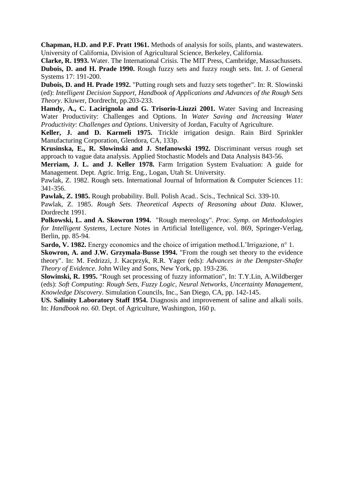**Chapman, H.D. and P.F. Pratt 1961.** Methods of analysis for soils, plants, and wastewaters. University of California, Division of Agricultural Science, Berkeley, California.

**Clarke, R. 1993.** Water. The International Crisi*s.* The MIT Press, Cambridge, Massachussets. **Dubois, D. and H. Prade 1990.** Rough fuzzy sets and fuzzy rough sets. Int. J. of General Systems 17: 191-200.

**Dubois, D. and H. Prade 1992.** "Putting rough sets and fuzzy sets together". In: R. Slowinski (ed): *Intelligent Decision Support, Handbook of Applications and Advances of the Rough Sets Theory*. Kluwer, Dordrecht, pp.203-233.

**Hamdy, A., C. Lacirignola and G. Trisorio-Liuzzi 2001.** Water Saving and Increasing Water Productivity: Challenges and Options. In *Water Saving and Increasing Water Productivity*: *Challenges and Options*. University of Jordan, Faculty of Agriculture.

**Keller, J. and D. Karmeli 1975.** Trickle irrigation design. Rain Bird Sprinkler Manufacturing Corporation, Glendora, CA, 133p.

**Krusinska, E., R. Slowinski and J. Stefanowski 1992.** Discriminant versus rough set approach to vague data analysis. Applied Stochastic Models and Data Analysis 843-56.

**Merriam, J. L. and J. Keller 1978.** Farm Irrigation System Evaluation: A guide for Management. Dept. Agric. Irrig. Eng*.*, Logan, Utah St. University.

Pawlak, Z. 1982. Rough sets. International Journal of Information & Computer Sciences 11: 341-356.

**Pawlak, Z. 1985.** Rough probability. Bull. Polish Acad.. Scis., Technical Sci*.* 339-10.

Pawlak, Z. 1985. *Rough Sets. Theoretical Aspects of Reasoning about Data*. Kluwer, Dordrecht 1991.

**Polkowski, L. and A. Skowron 1994.** "Rough mereology". *Proc. Symp. on Methodologies for Intelligent Systems*, Lecture Notes in Artificial Intelligence, vol. 869, Springer-Verlag, Berlin, pp. 85-94.

**Sardo, V. 1982.** Energy economics and the choice of irrigation method. L'Irrigazione, n<sup>o</sup> 1.

**Skowron, A. and J.W. Grzymala-Busse 1994.** "From the rough set theory to the evidence theory". In: M. Fedrizzi, J. Kacprzyk, R.R. Yager (eds): *Advances in the Dempster-Shafer Theory of Evidence*. John Wiley and Sons, New York, pp. 193-236.

**Slowinski, R. 1995.** "Rough set processing of fuzzy information", In: T.Y.Lin, A.Wildberger (eds): *Soft Computing: Rough Sets, Fuzzy Logic, Neural Networks, Uncertainty Management, Knowledge Discovery*. Simulation Councils, Inc., San Diego, CA, pp. 142-145.

**US. Salinity Laboratory Staff 1954.** Diagnosis and improvement of saline and alkali soils. In: *Handbook no. 60*. Dept. of Agriculture, Washington, 160 p.